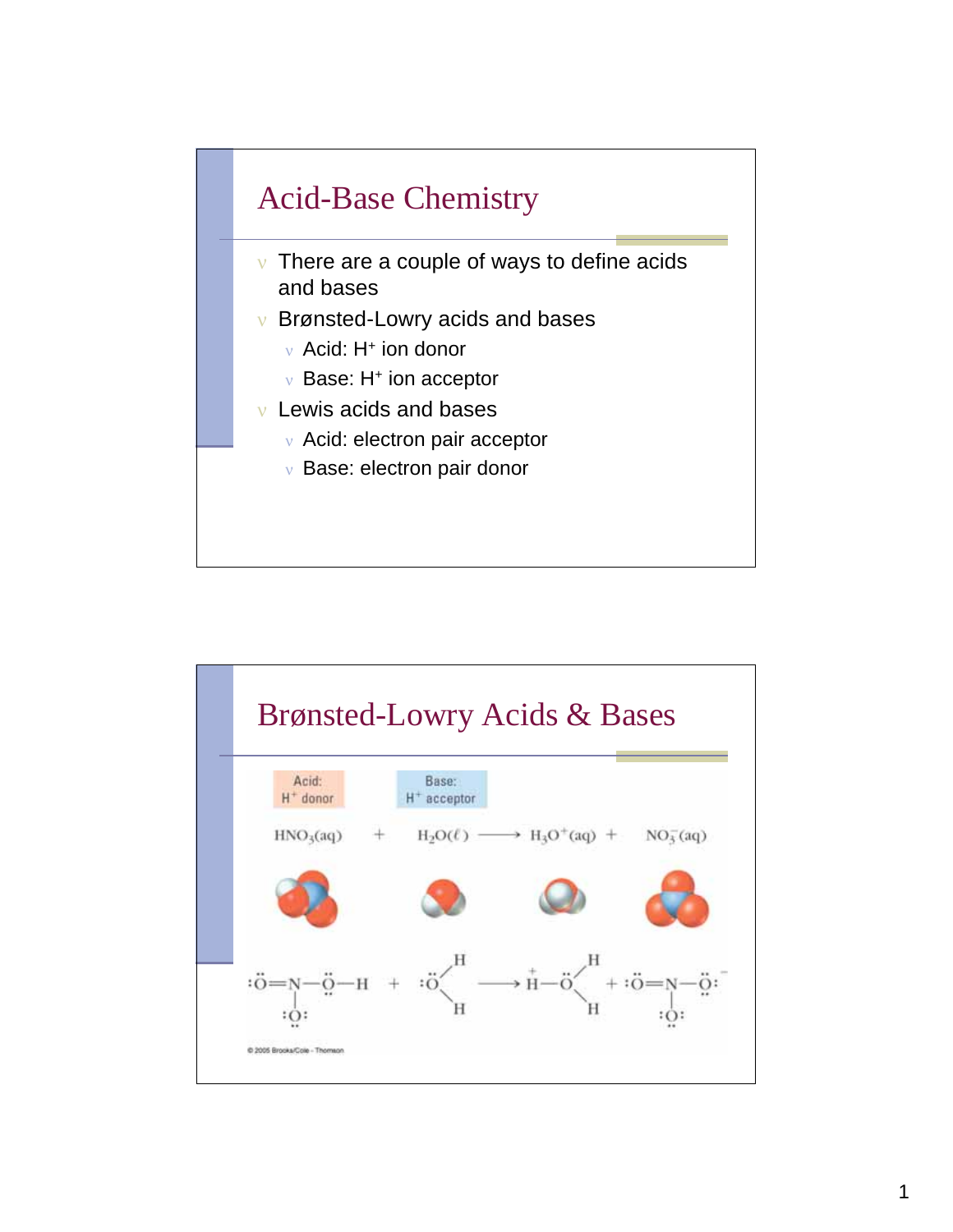

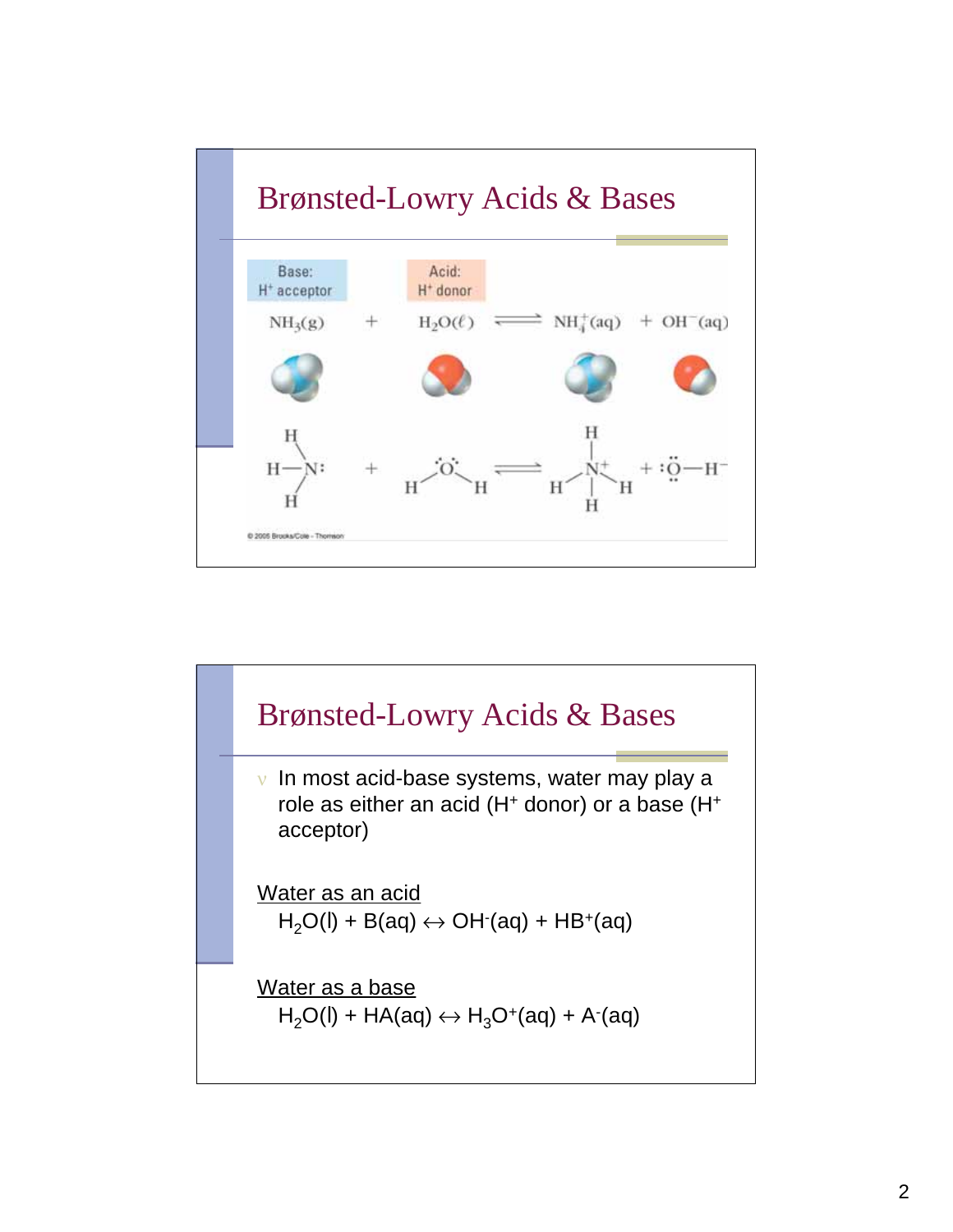

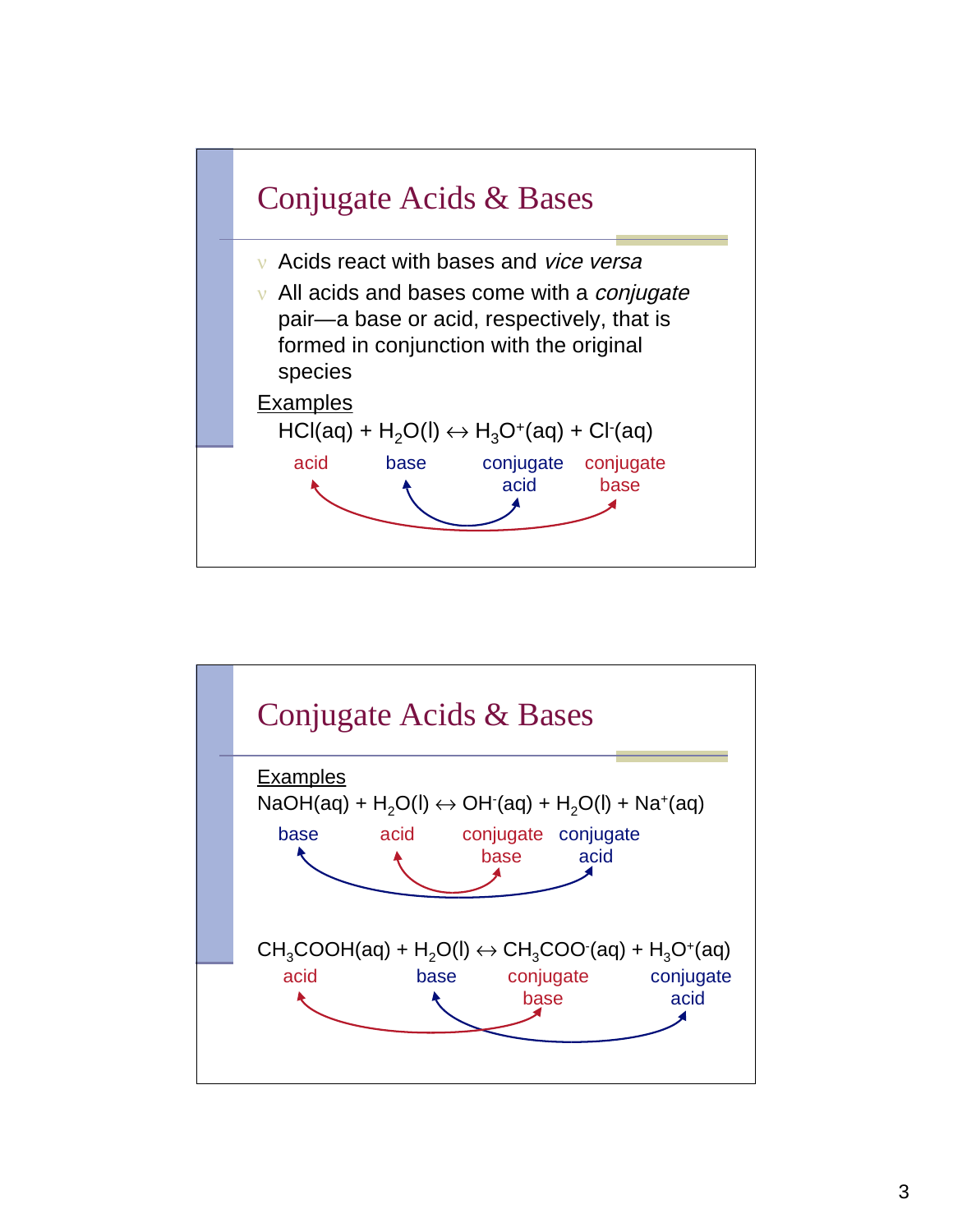

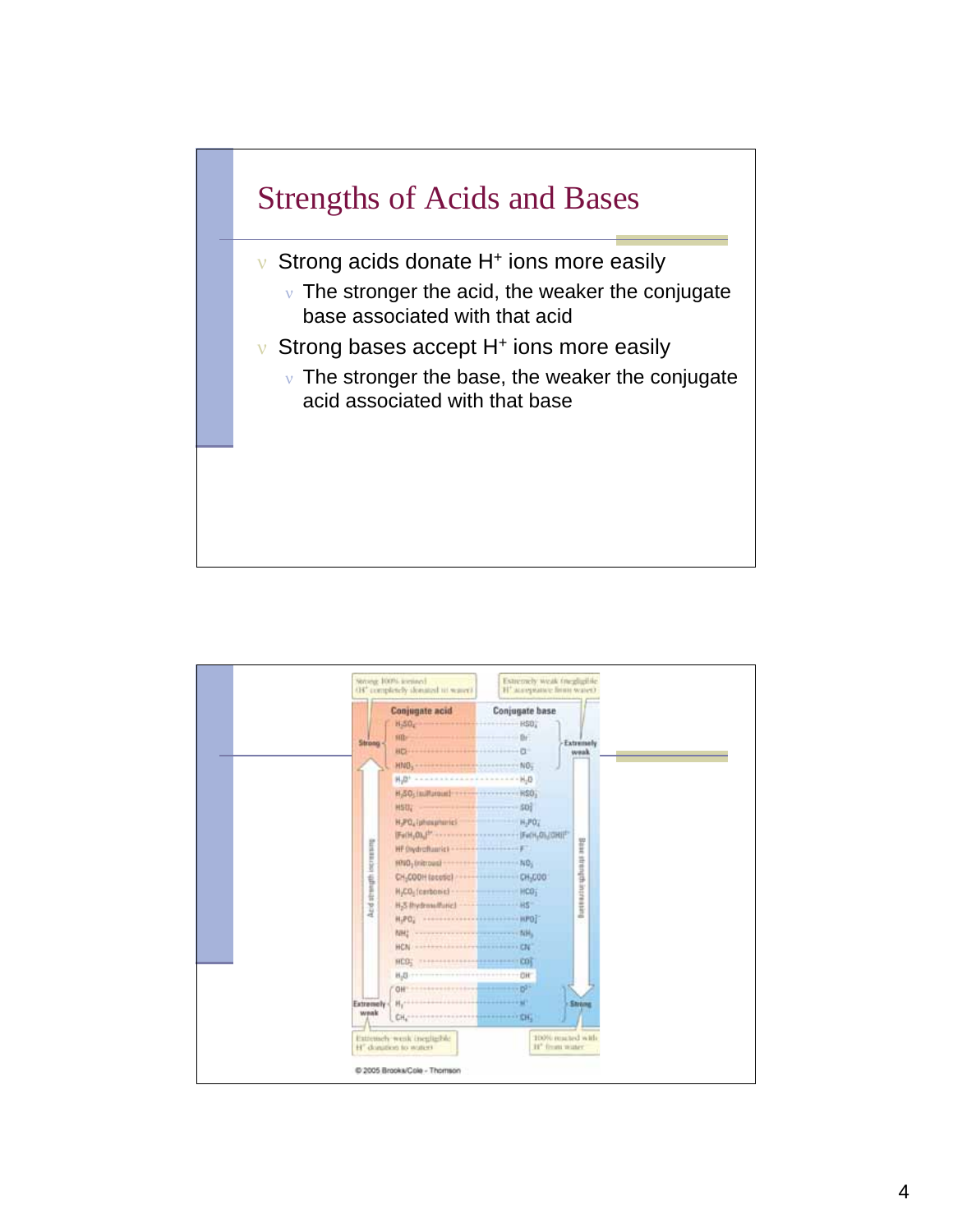

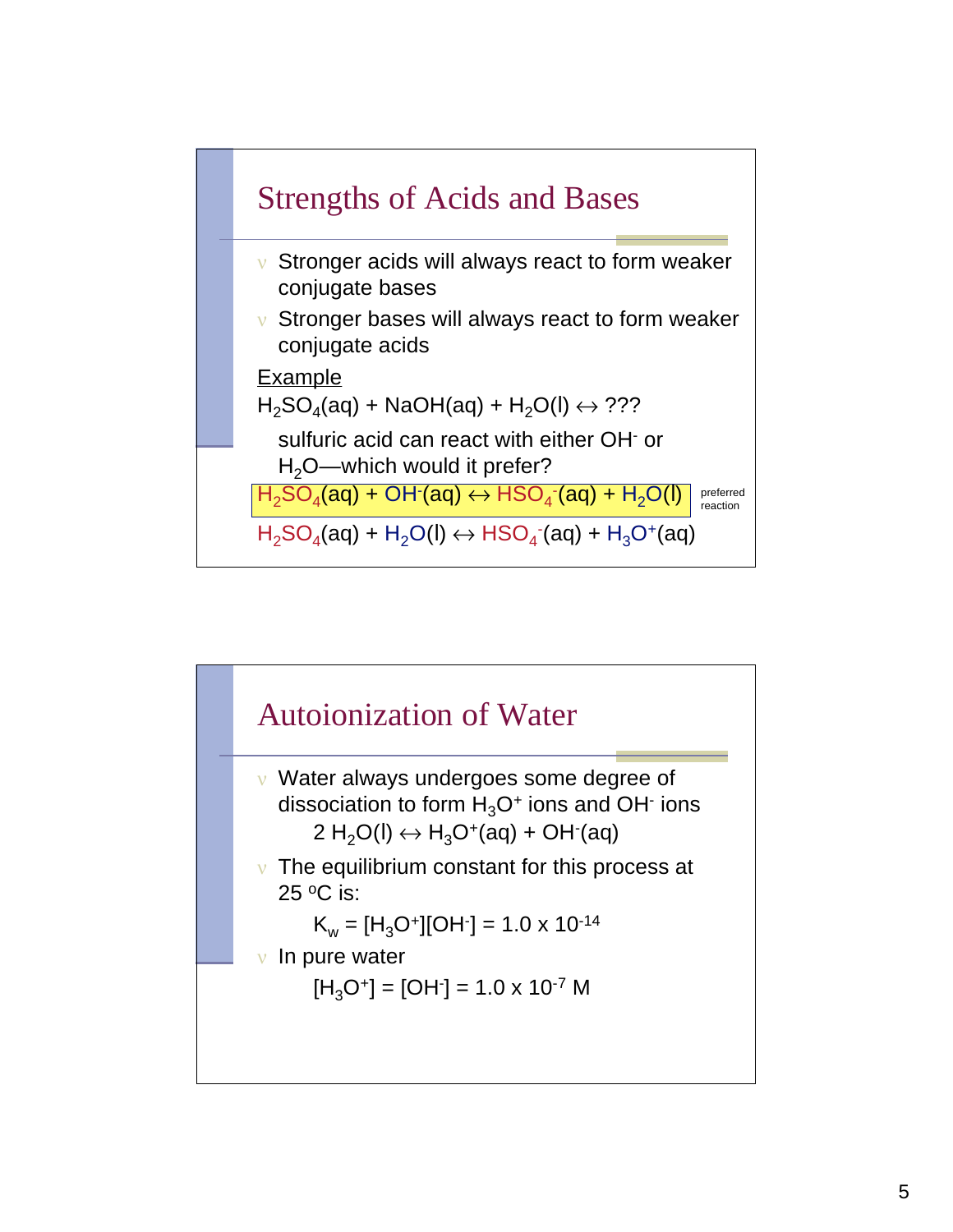

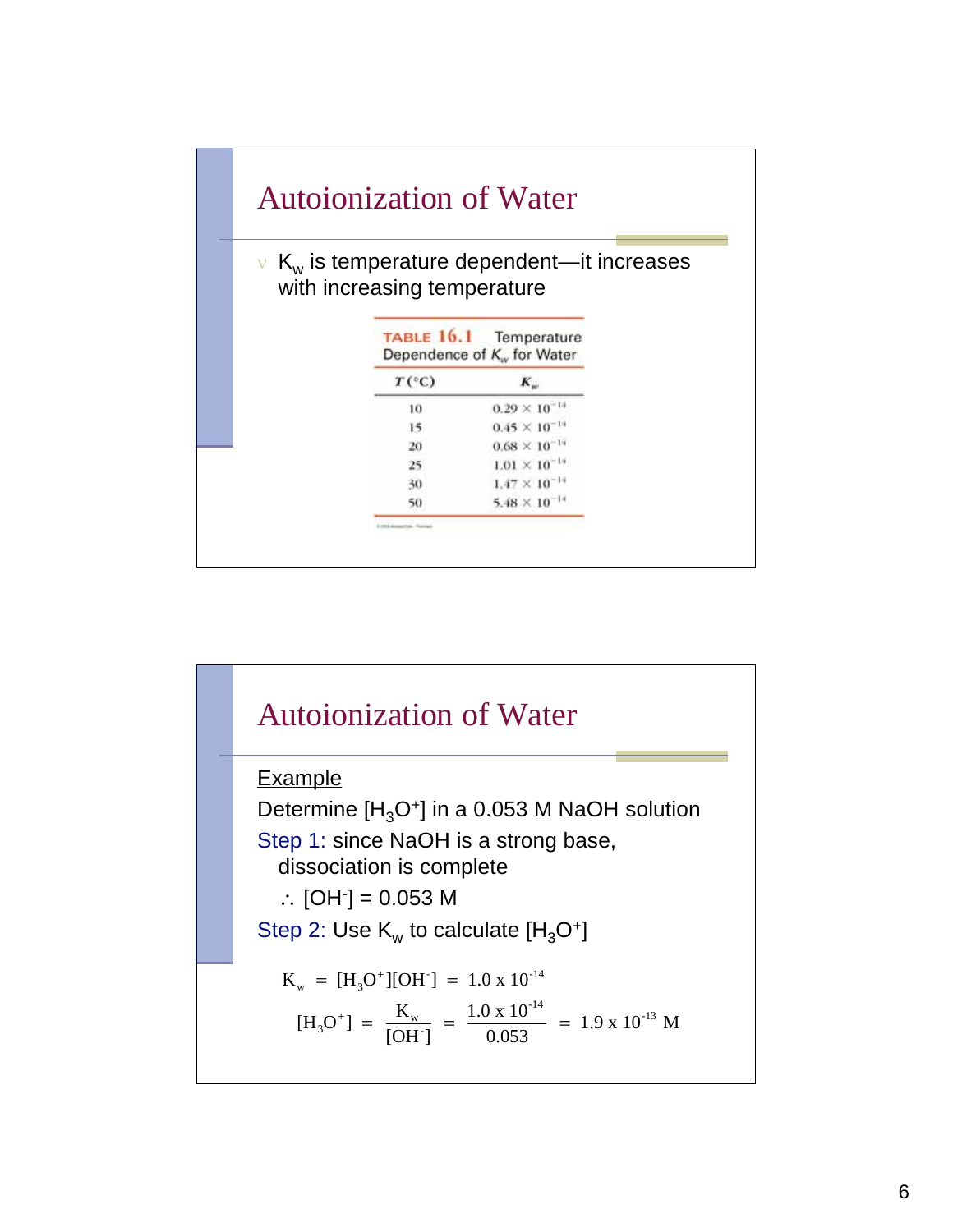

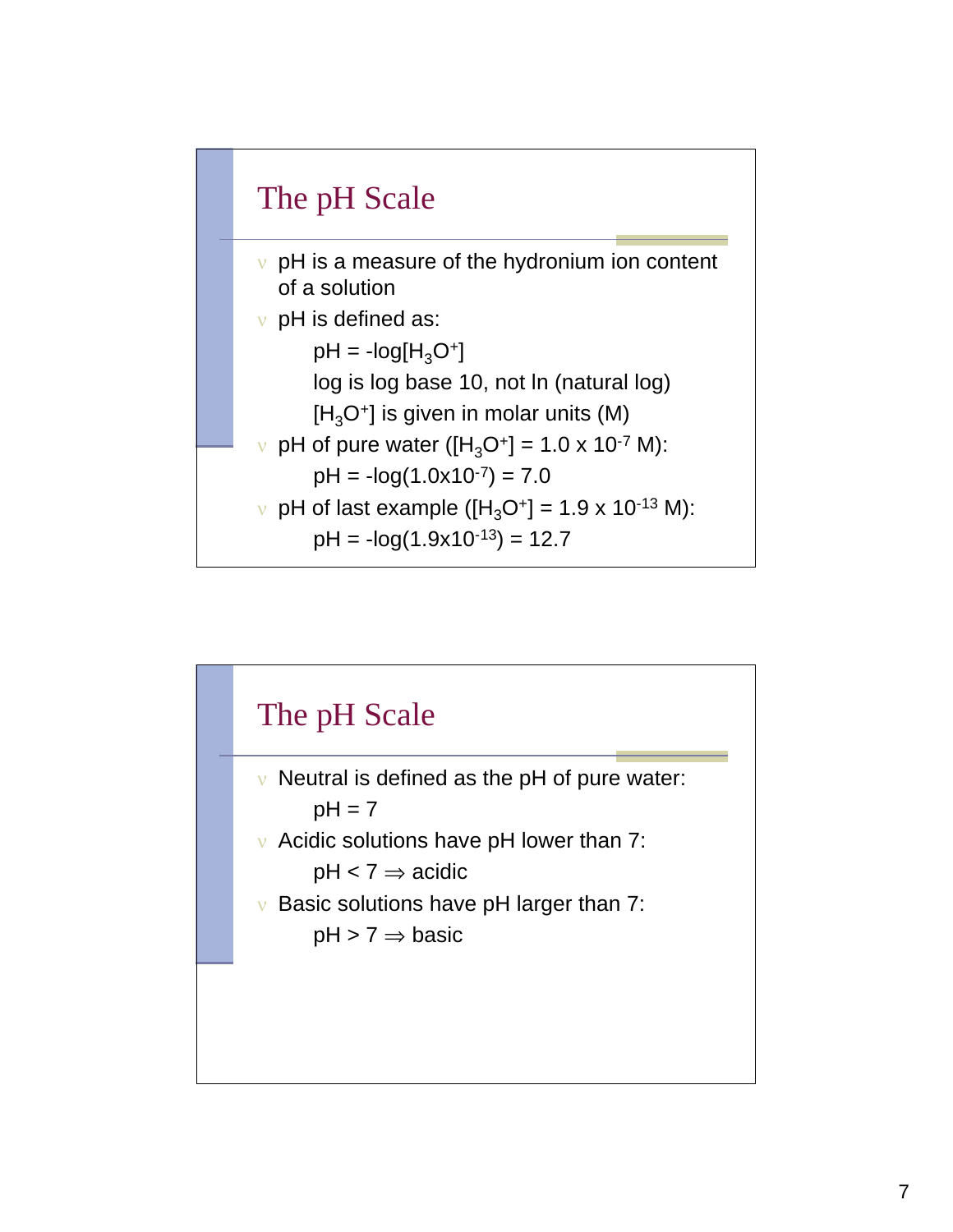

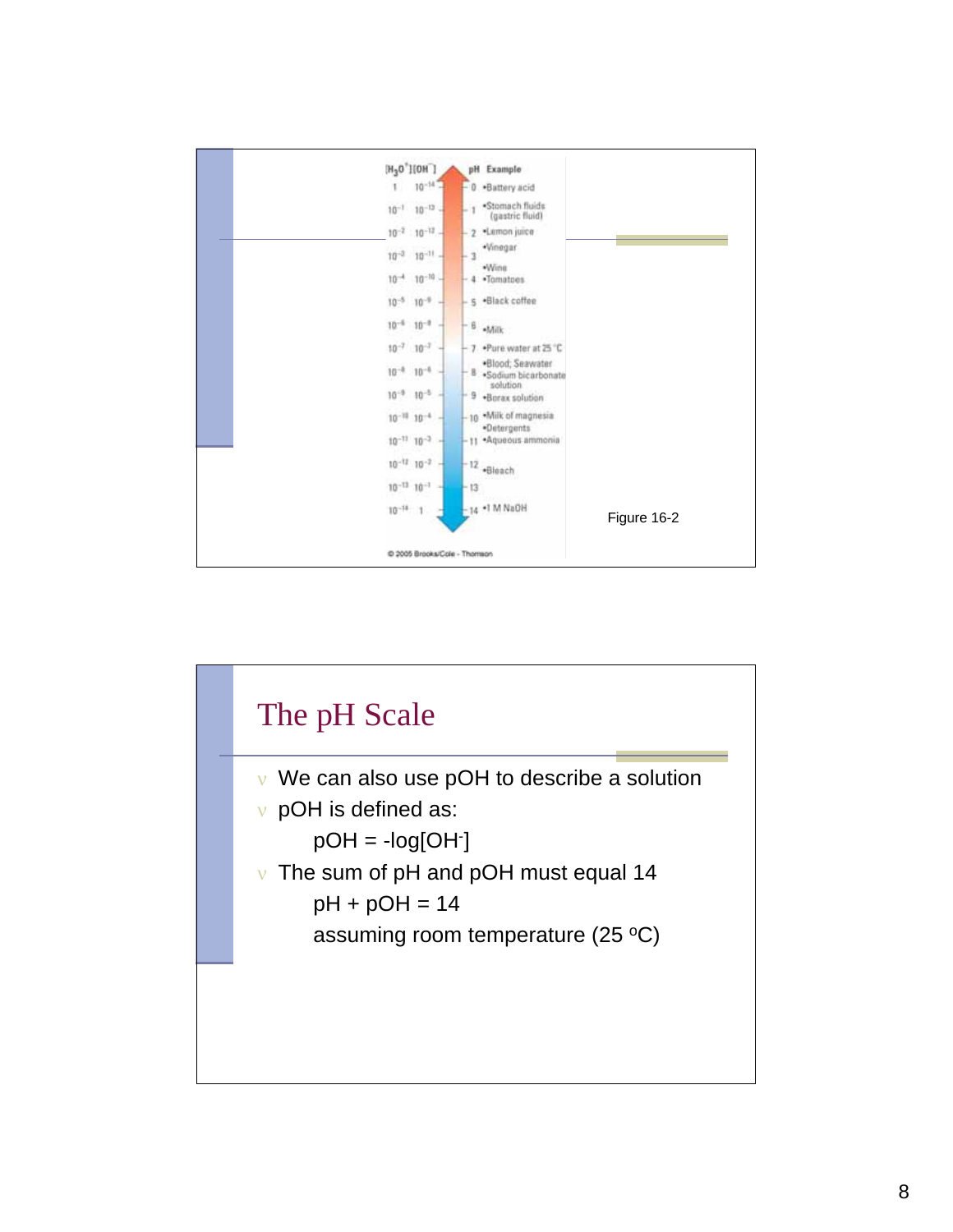

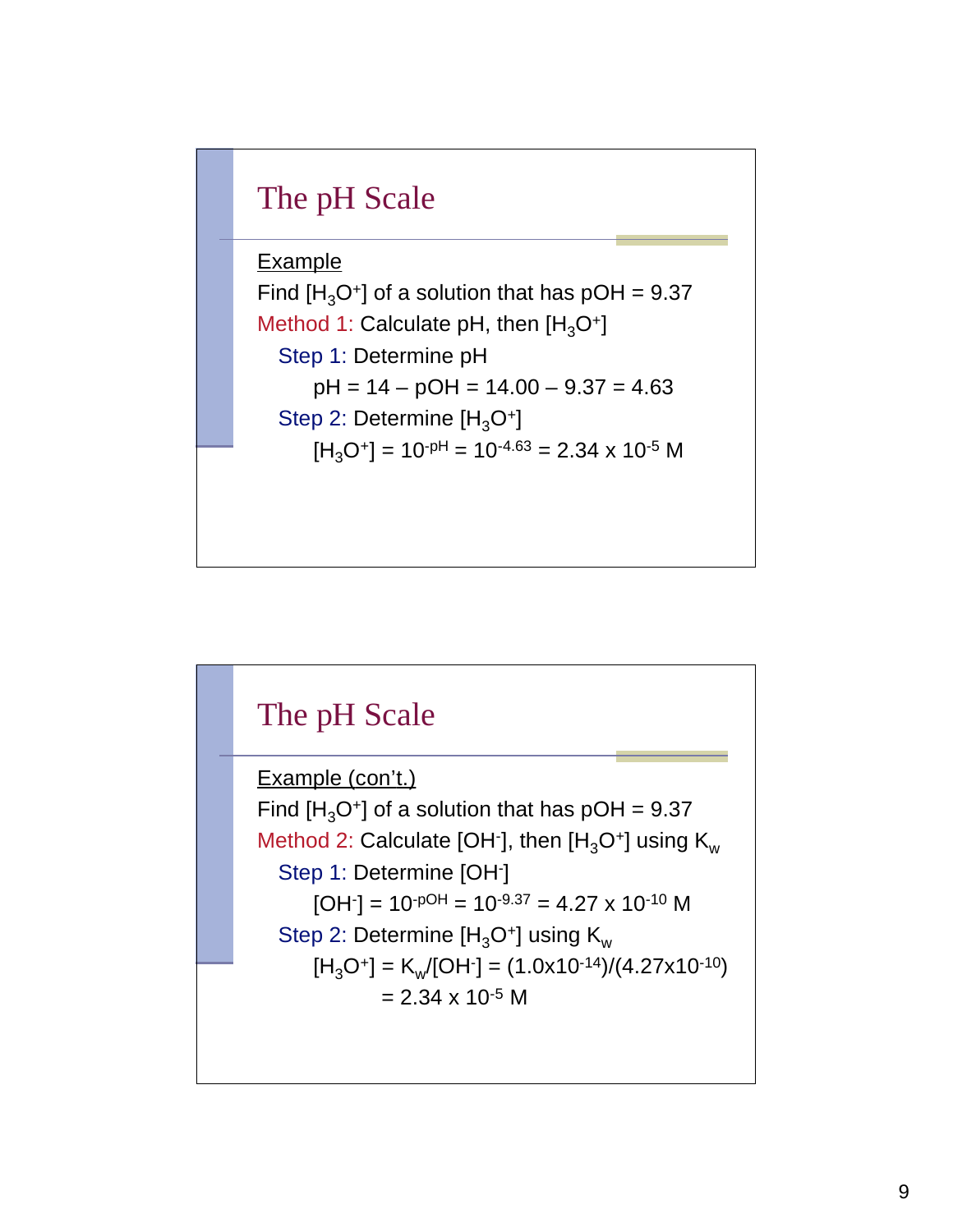

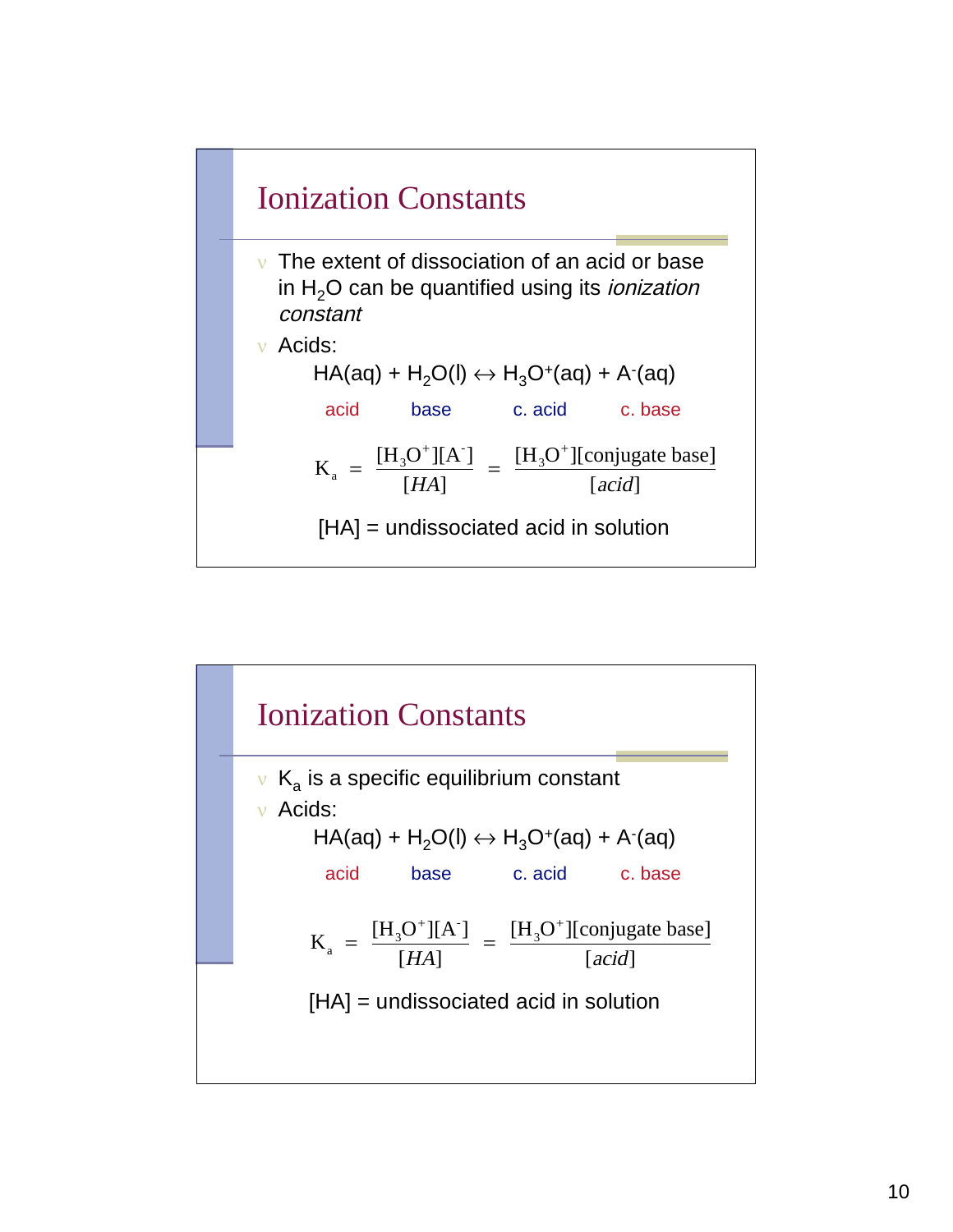

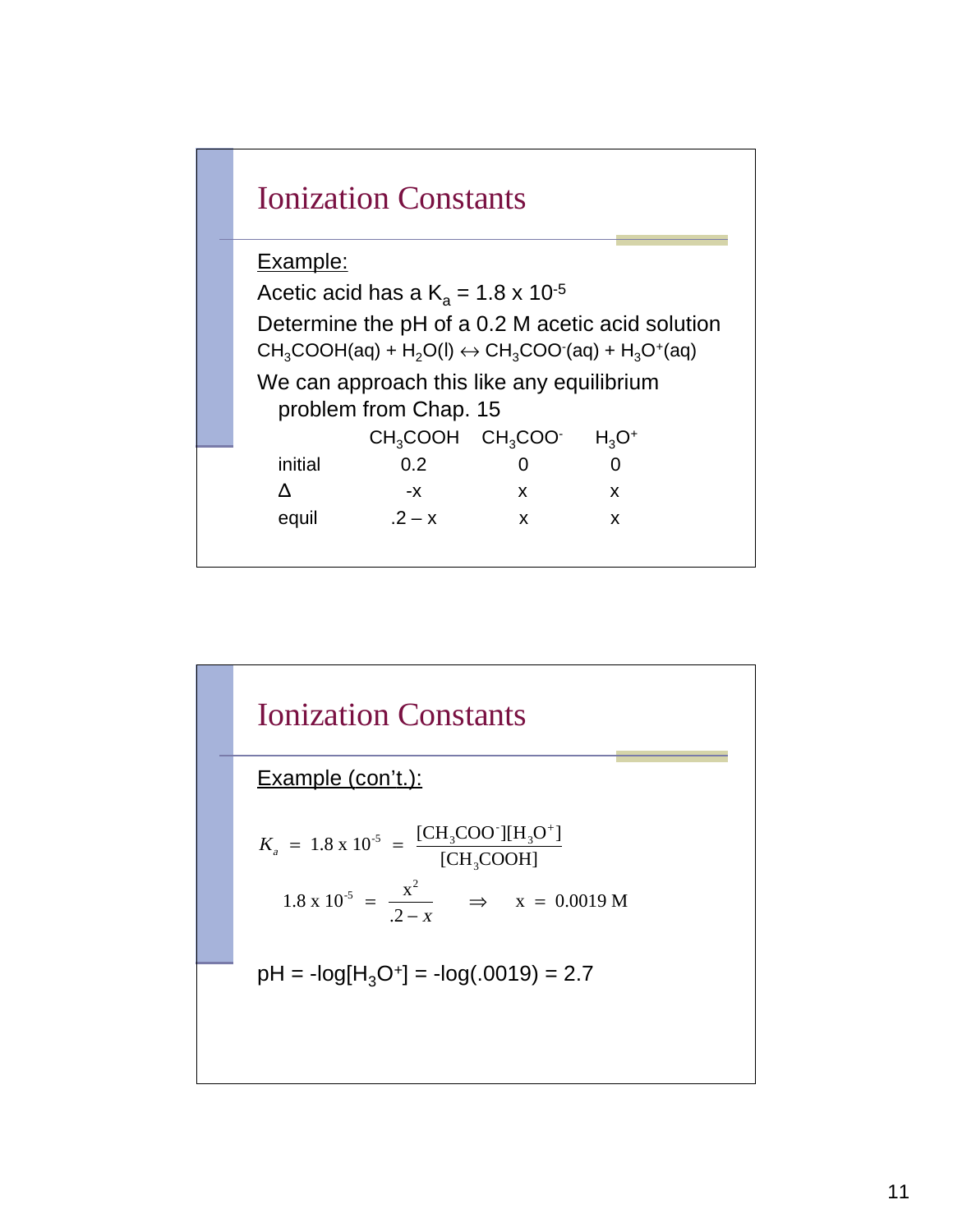

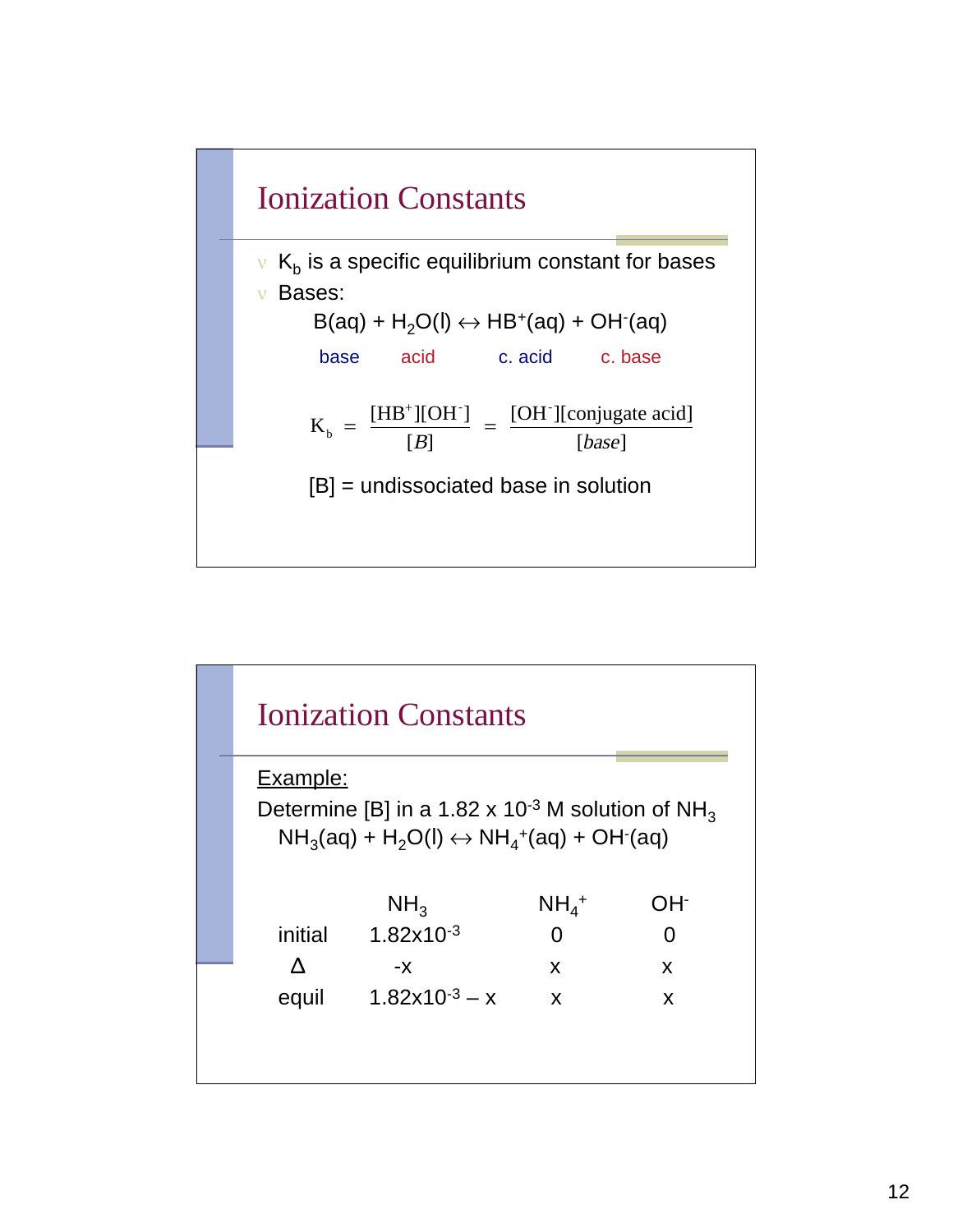

|          | <b>Ionization Constants</b>                                                                                                       |                    |     |
|----------|-----------------------------------------------------------------------------------------------------------------------------------|--------------------|-----|
| Example: |                                                                                                                                   |                    |     |
|          | Determine [B] in a 1.82 x 10 <sup>-3</sup> M solution of NH <sub>3</sub><br>$NH3(aq) + H2O(l) \leftrightarrow NH4+(aq) + OH3(aq)$ |                    |     |
|          | NH <sub>3</sub>                                                                                                                   | $NH4$ <sup>+</sup> | OH- |
| initial  | $1.82 \times 10^{-3}$                                                                                                             | 0                  | 0   |
|          | -х                                                                                                                                | X                  | X   |
| equil    | $1.82x10^{-3} - x$                                                                                                                | X                  | X   |
|          |                                                                                                                                   |                    |     |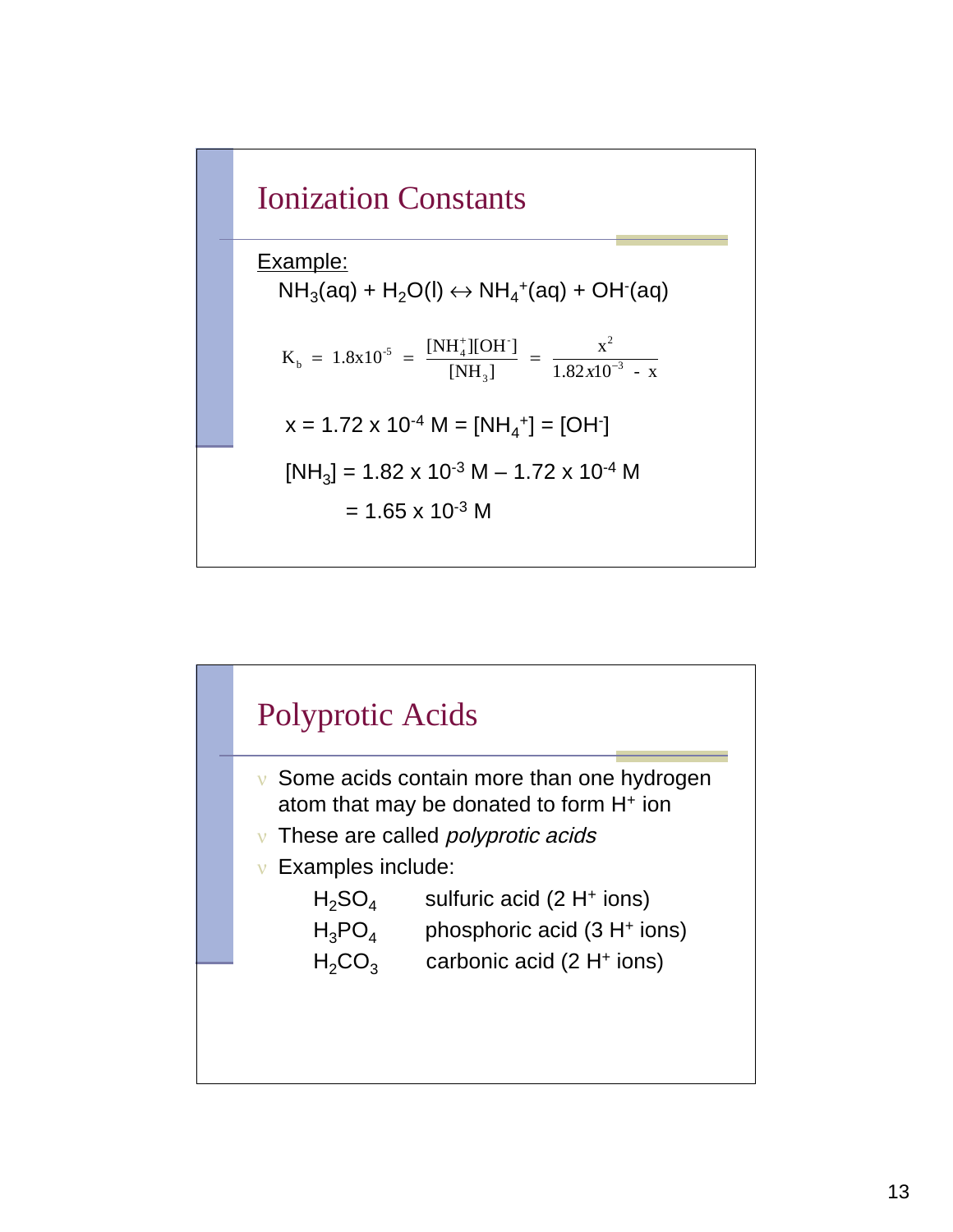

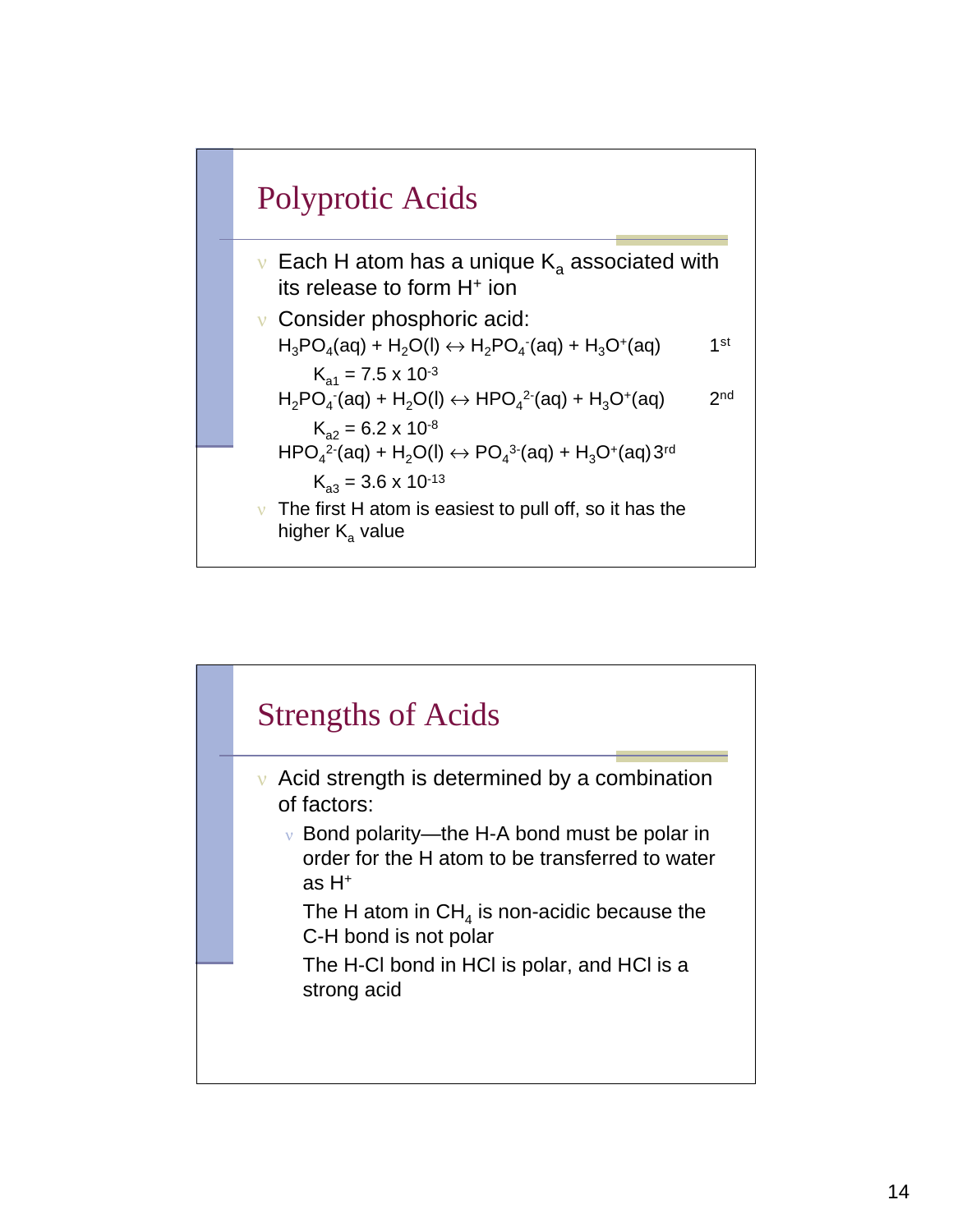

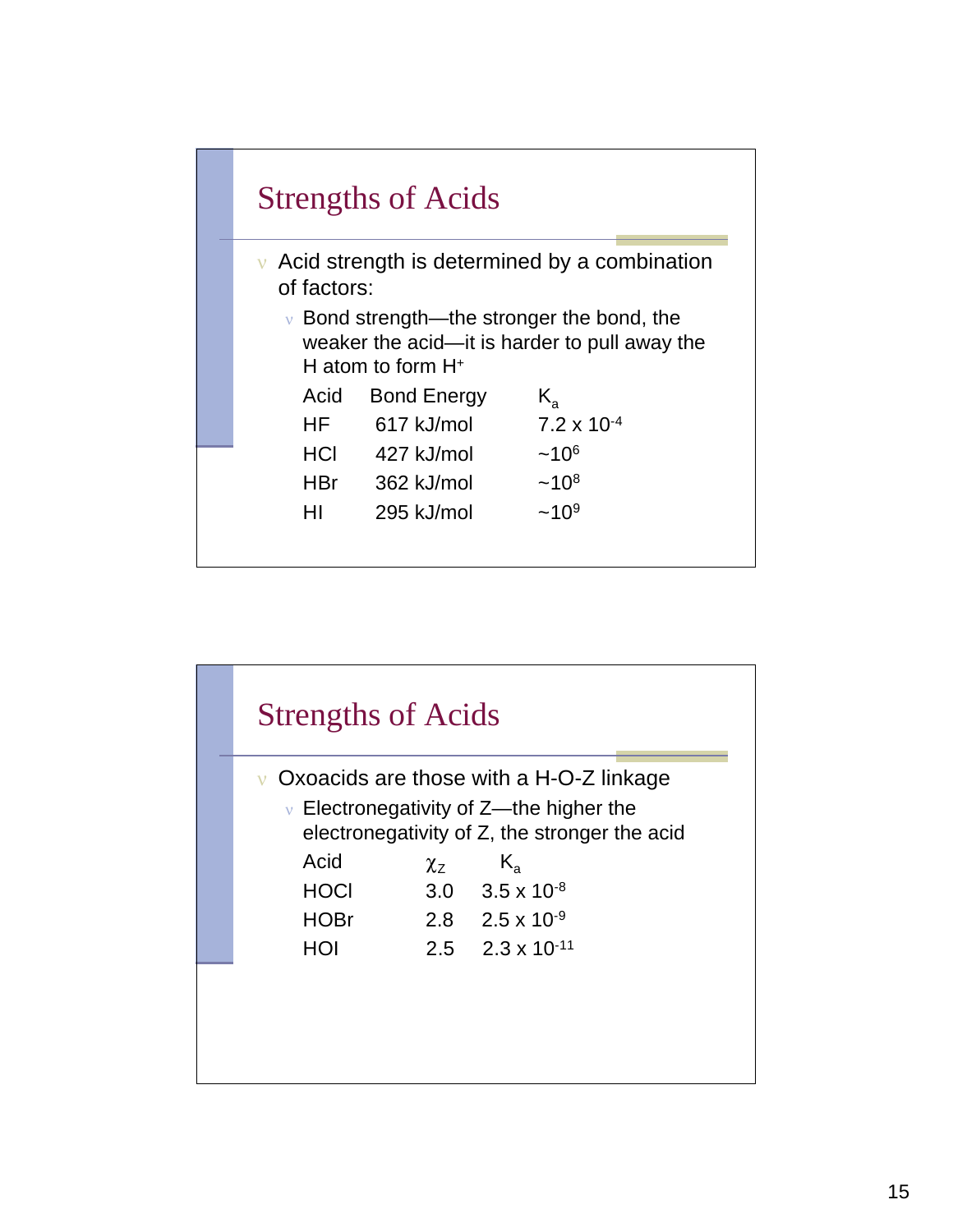

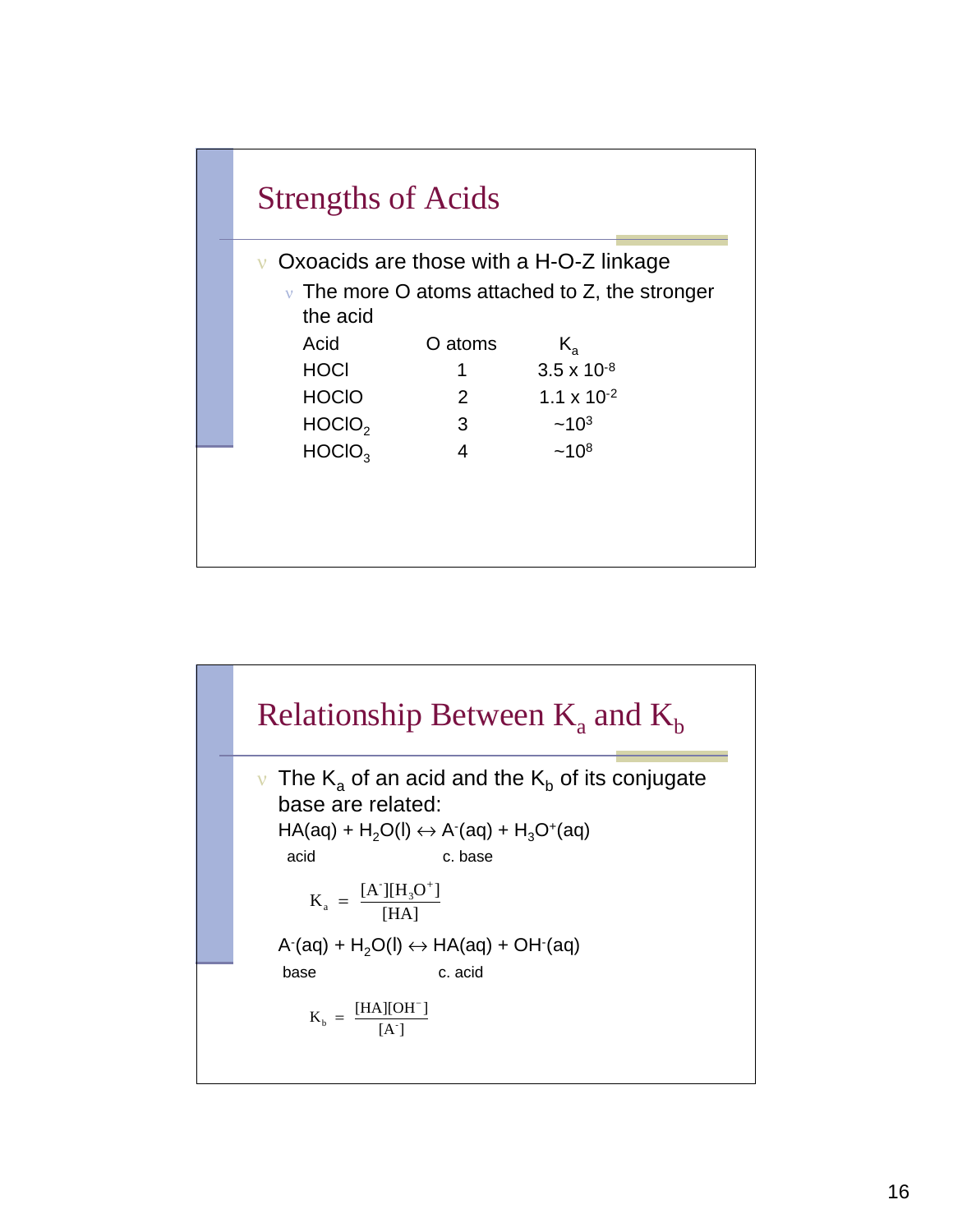

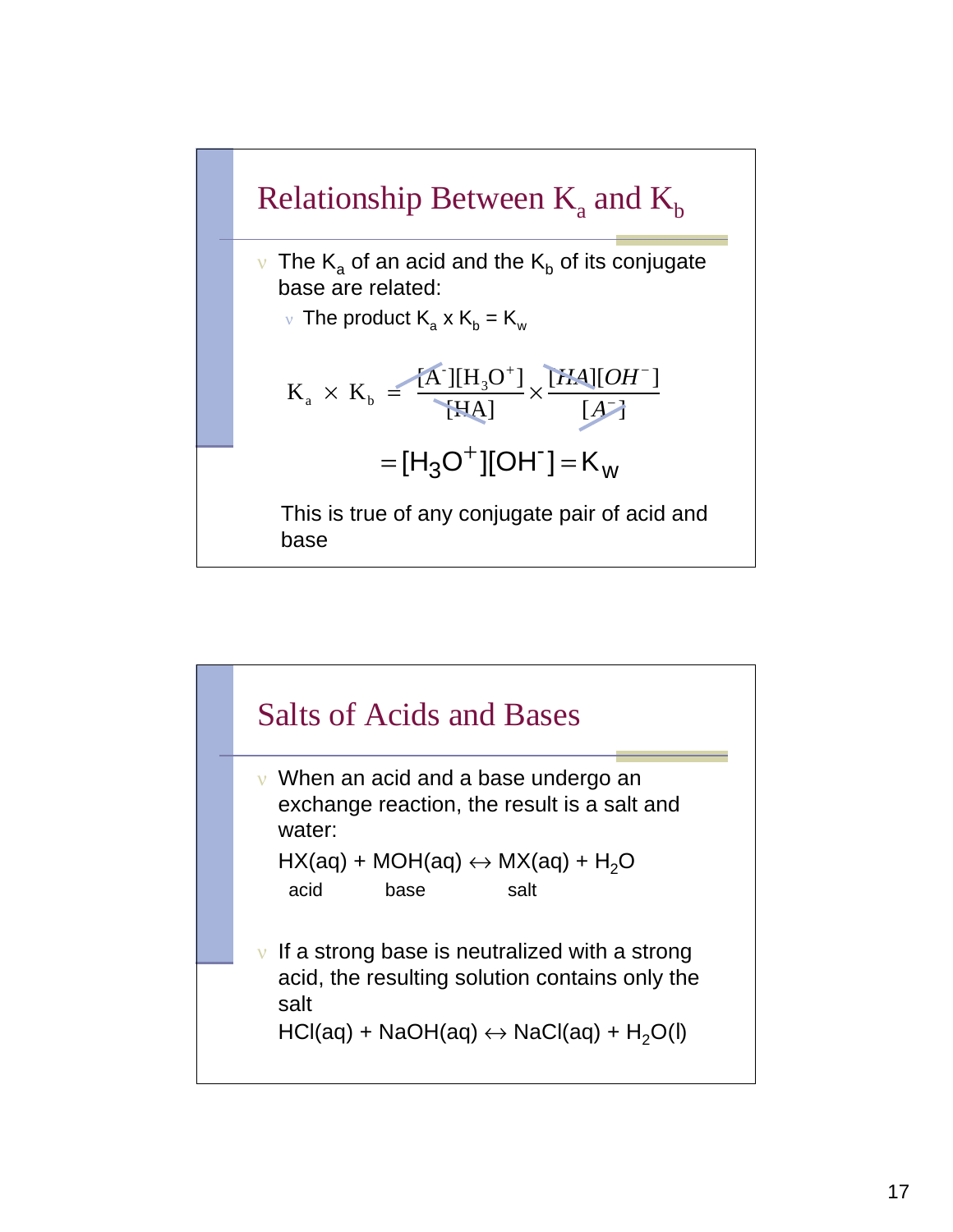

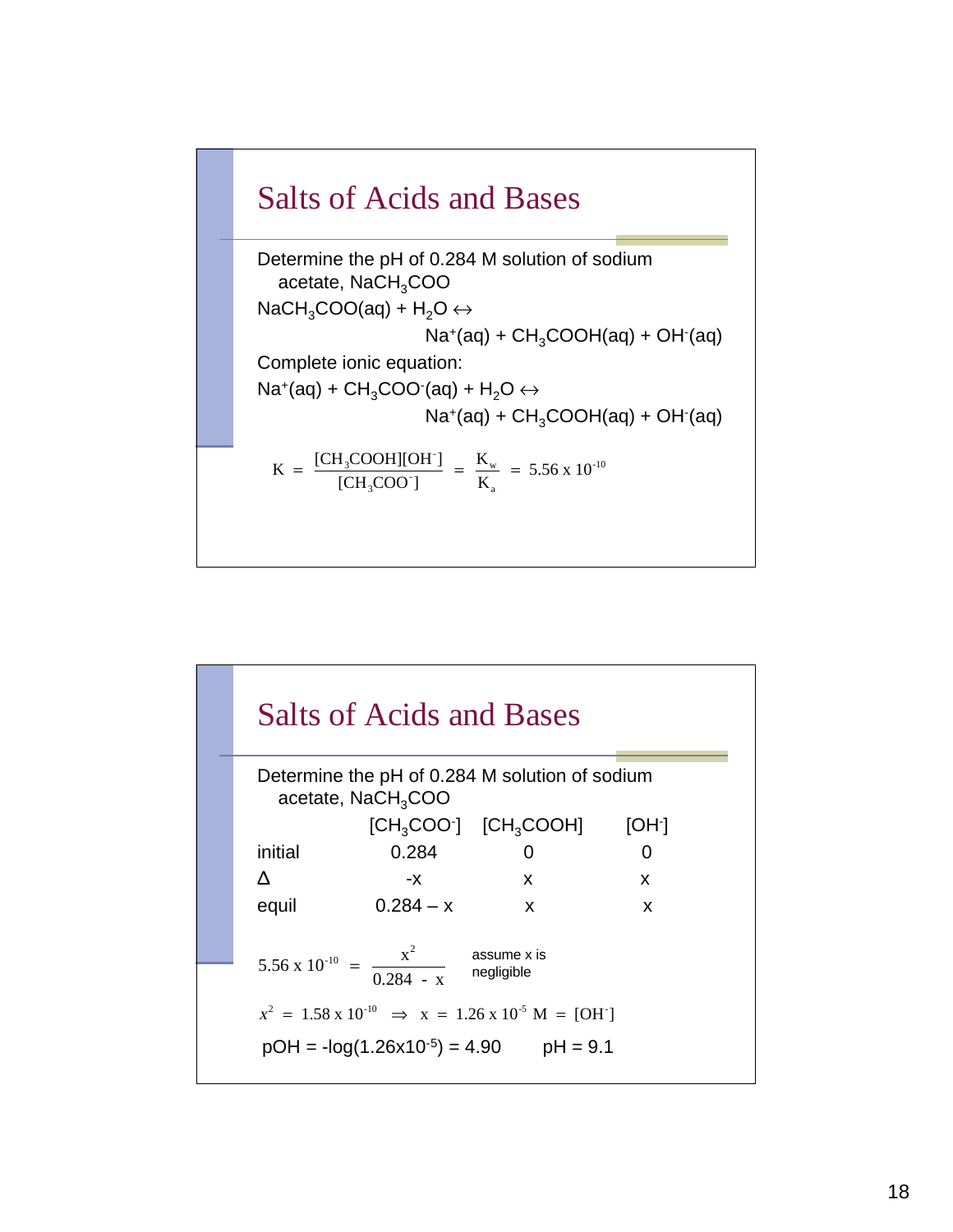

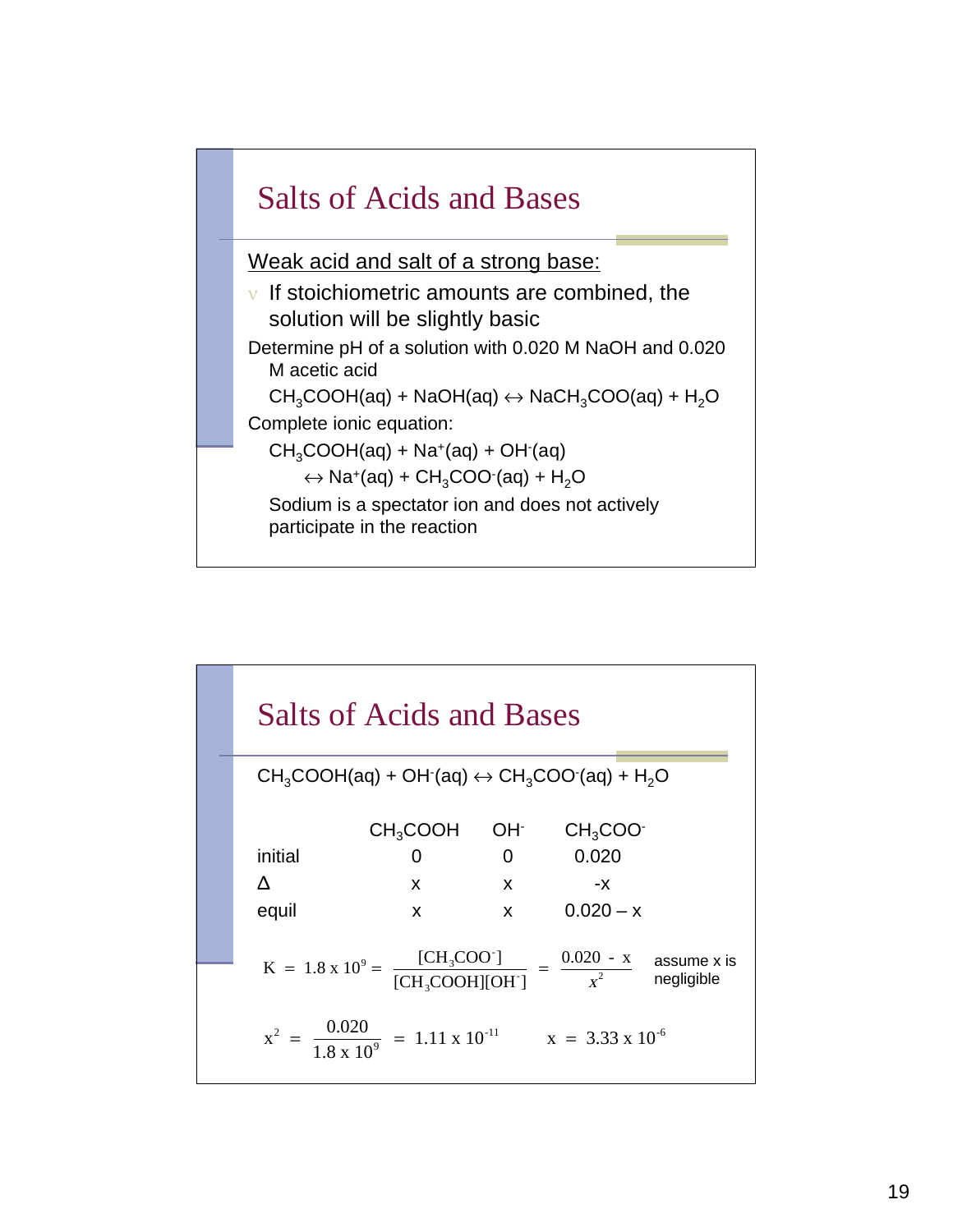

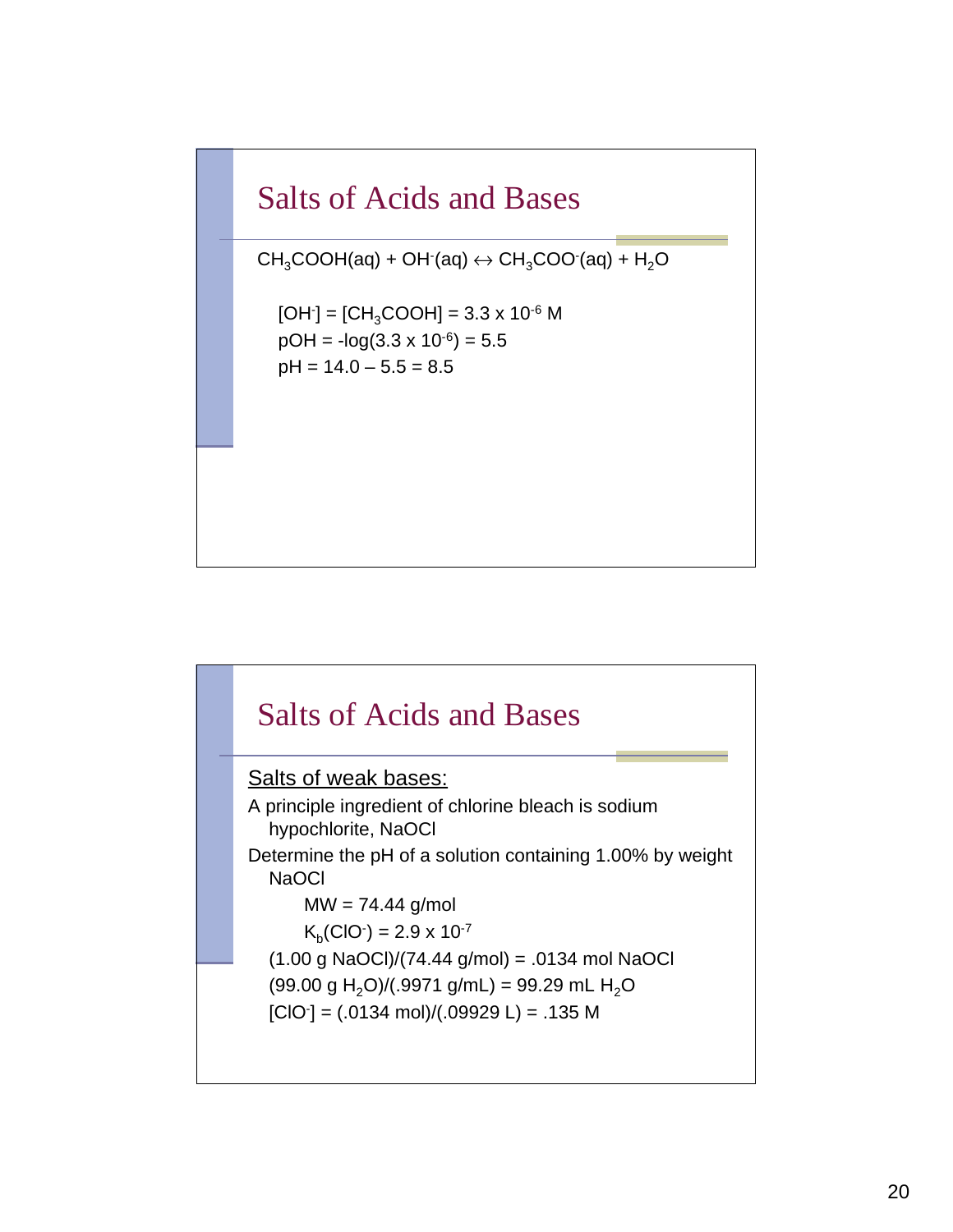## Salts of Acids and Bases

 $CH<sub>3</sub>COOH(aq) + OH(aq) \leftrightarrow CH<sub>3</sub>COO(aq) + H<sub>2</sub>O$ 

 $[OH$ ] =  $[CH<sub>3</sub>COOH]$  = 3.3 x 10<sup>-6</sup> M  $pOH = -log(3.3 \times 10^{-6}) = 5.5$  $pH = 14.0 - 5.5 = 8.5$ 

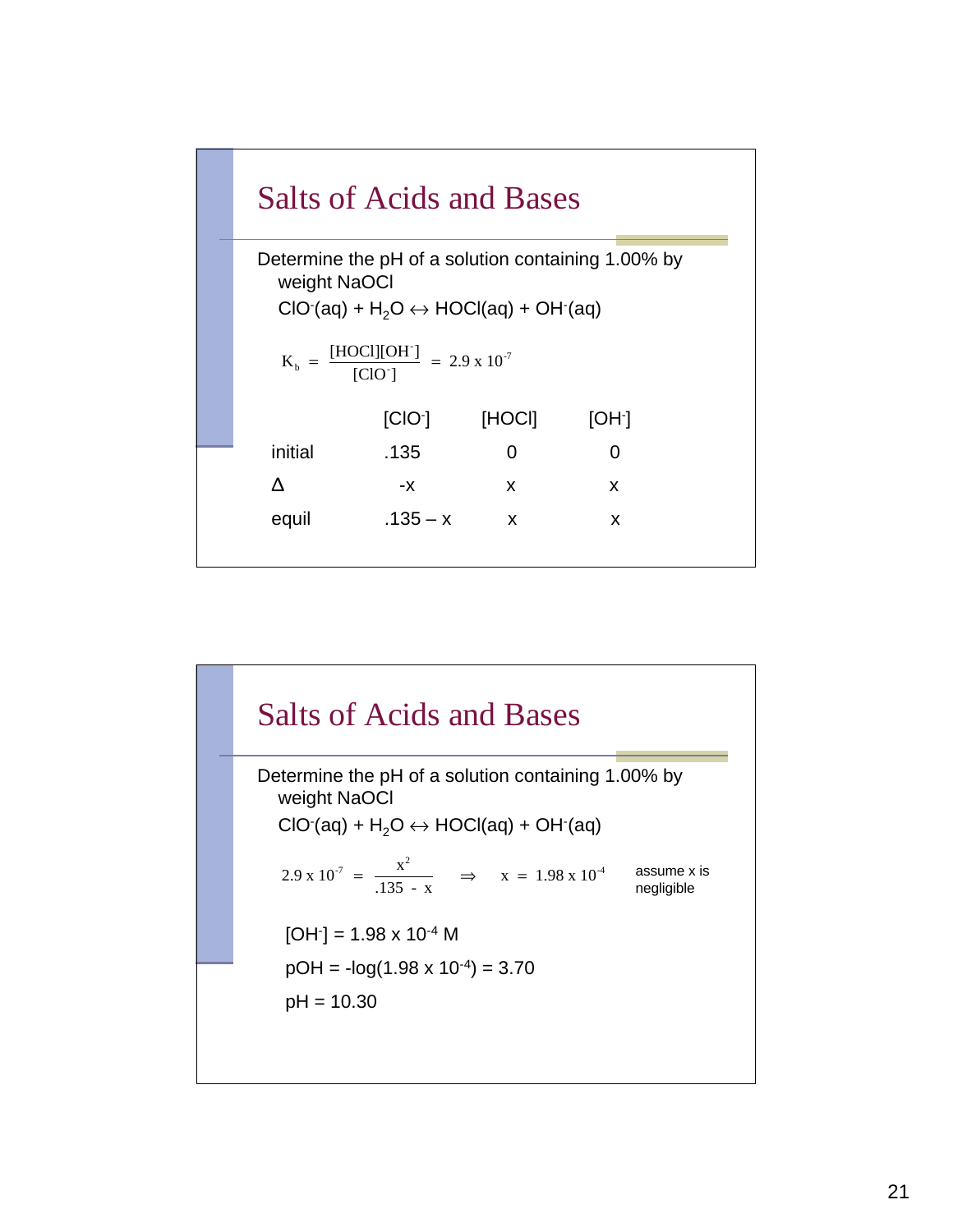

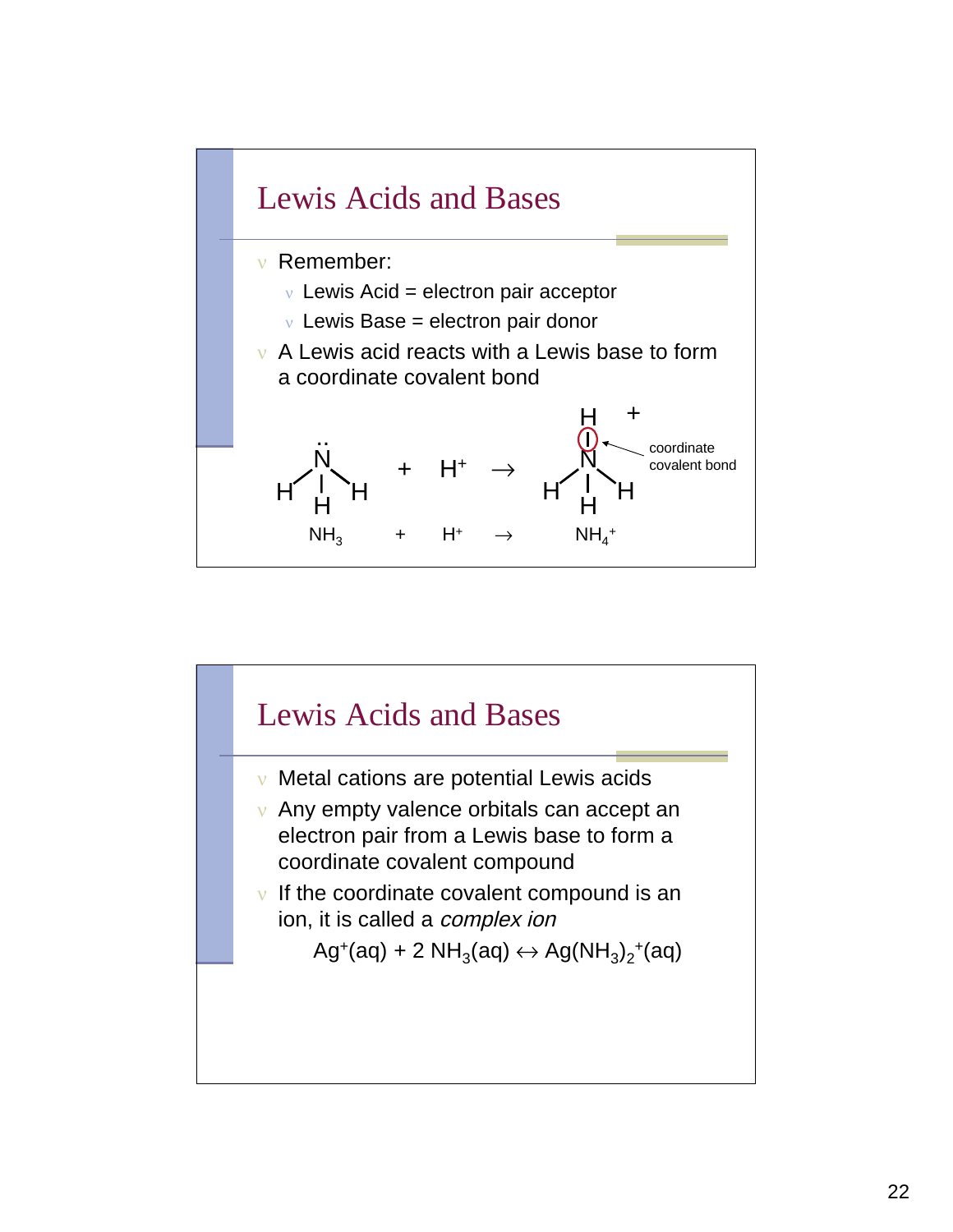